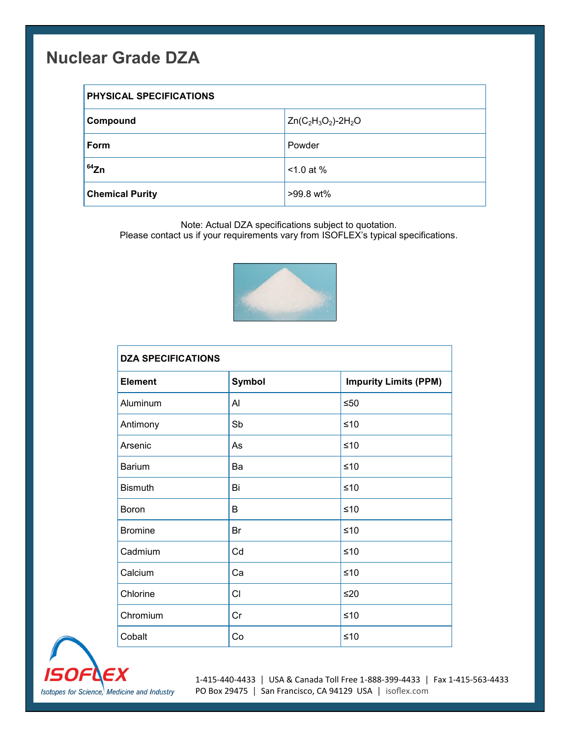## **Nuclear Grade DZA**

| PHYSICAL SPECIFICATIONS |                         |  |
|-------------------------|-------------------------|--|
| Compound                | $Zn(C_2H_3O_2) - 2H_2O$ |  |
| Form                    | Powder                  |  |
| $64$ Zn                 | $< 1.0$ at %            |  |
| <b>Chemical Purity</b>  | >99.8 wt%               |  |

Note: Actual DZA specifications subject to quotation.

Please contact us if your requirements vary from ISOFLEX's typical specifications.



| <b>DZA SPECIFICATIONS</b> |               |                              |  |
|---------------------------|---------------|------------------------------|--|
| <b>Element</b>            | <b>Symbol</b> | <b>Impurity Limits (PPM)</b> |  |
| Aluminum                  | Al            | $≤50$                        |  |
| Antimony                  | Sb            | $≤10$                        |  |
| Arsenic                   | As            | $≤10$                        |  |
| <b>Barium</b>             | Ba            | $≤10$                        |  |
| <b>Bismuth</b>            | Bi            | $≤10$                        |  |
| Boron                     | B             | $≤10$                        |  |
| <b>Bromine</b>            | Br            | $≤10$                        |  |
| Cadmium                   | Cd            | $≤10$                        |  |
| Calcium                   | Ca            | $≤10$                        |  |
| Chlorine                  | CI            | ≤20                          |  |
| Chromium                  | Cr            | $≤10$                        |  |
| Cobalt                    | Co            | ≤10                          |  |



1-415-440-4433 │ USA & Canada Toll Free 1-888-399-4433 │ Fax 1-415-563-4433 PO Box 29475 │ San Francisco, CA 94129 USA │ [isoflex.com](http://www.isoflex.com)